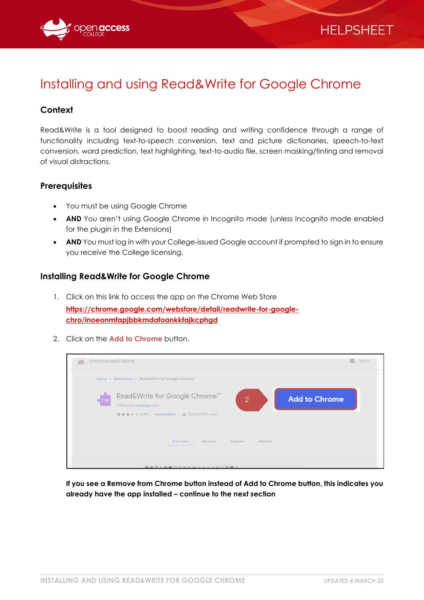

# Installing and using Read&Write for Google Chrome

# **Context**

Read&Write is a tool designed to boost reading and writing confidence through a range of functionality including text-to-speech conversion, text and picture dictionaries, speech-to-text conversion, word prediction, text highlighting, text-to-audio file, screen masking/tinting and removal of visual distractions.

#### **Prerequisites**

- You must be using Google Chrome
- **AND** You aren't using Google Chrome in Incognito mode (unless Incognito mode enabled for the plugin in the Extensions)
- **AND** You must log in with your College-issued Google account if prompted to sign in to ensure you receive the College licensing.

#### **Installing Read&Write for Google Chrome**

1. Click on this link to access the app on the Chrome Web Store

**[https://chrome.google.com/webstore/detail/readwrite-for-google](https://chrome.google.com/webstore/detail/readwrite-for-google-chro/inoeonmfapjbbkmdafoankkfajkcphgd)[chro/inoeonmfapjbbkmdafoankkfajkcphgd](https://chrome.google.com/webstore/detail/readwrite-for-google-chro/inoeonmfapjbbkmdafoankkfajkcphgd)**

2. Click on the **Add to Chrome** button.

| $\sqrt{2}$ | chrome web store                                                                                                                                                            | Sign in<br>垃 |
|------------|-----------------------------------------------------------------------------------------------------------------------------------------------------------------------------|--------------|
|            | Home > Extensions > Read&Write for Google Chrome"                                                                                                                           |              |
| c rw       | Read&Write for Google Chrome <sup>™</sup><br><b>Add to Chrome</b><br>$\overline{2}$<br>Offered by: texthelp.com<br>★★★ ★ 2,393   Accessibility   <u>●</u> 10,000,000+ users |              |
|            | Overview<br>Reviews<br>Support<br>Related                                                                                                                                   |              |
|            | <b>AIMPLUMCAROMOOOKAEMA</b>                                                                                                                                                 |              |

**If you see a Remove from Chrome button instead of Add to Chrome button, this indicates you already have the app installed – continue to the next section**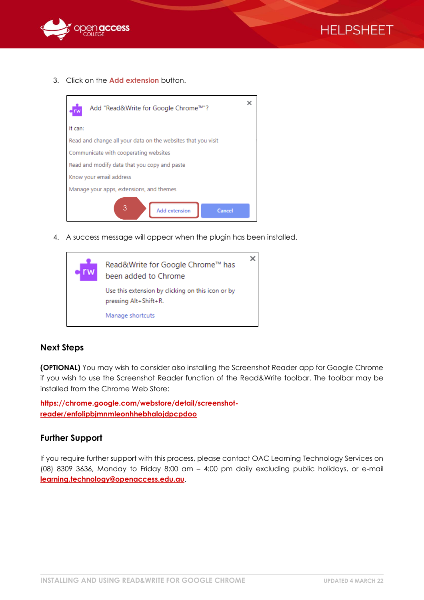



3. Click on the **Add extension** button.



4. A success message will appear when the plugin has been installed.



#### **Next Steps**

**(OPTIONAL)** You may wish to consider also installing the Screenshot Reader app for Google Chrome if you wish to use the Screenshot Reader function of the Read&Write toolbar. The toolbar may be installed from the Chrome Web Store:

**[https://chrome.google.com/webstore/detail/screenshot](https://chrome.google.com/webstore/detail/screenshot-reader/enfolipbjmnmleonhhebhalojdpcpdoo)[reader/enfolipbjmnmleonhhebhalojdpcpdoo](https://chrome.google.com/webstore/detail/screenshot-reader/enfolipbjmnmleonhhebhalojdpcpdoo)**

#### **Further Support**

If you require further support with this process, please contact OAC Learning Technology Services on (08) 8309 3636, Monday to Friday 8:00 am – 4:00 pm daily excluding public holidays, or e-mail **[learning.technology@openaccess.edu.au](mailto:learning.technology@openaccess.edu.au)**.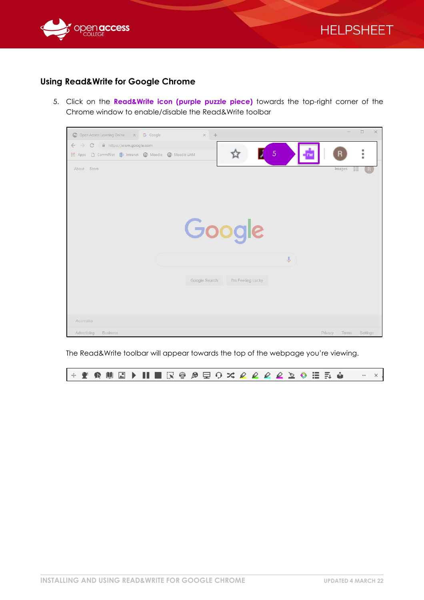



## **Using Read&Write for Google Chrome**

5. Click on the **Read&Write icon (purple puzzle piece)** towards the top-right corner of the Chrome window to enable/disable the Read&Write toolbar



The Read&Write toolbar will appear towards the top of the webpage you're viewing.

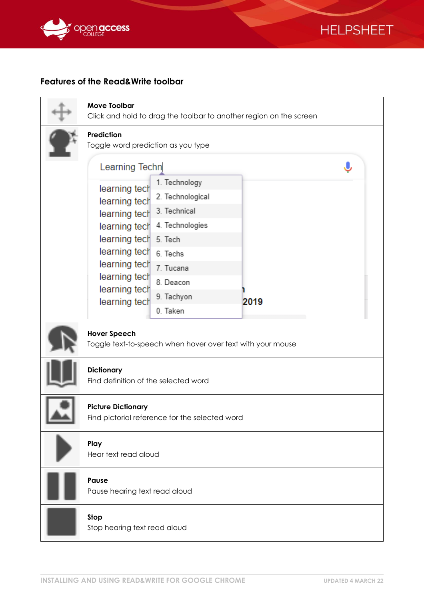



## **Features of the Read&Write toolbar**

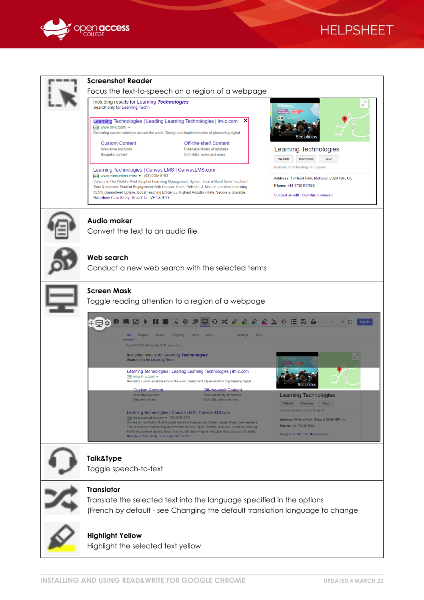

# **HELPSHEET**

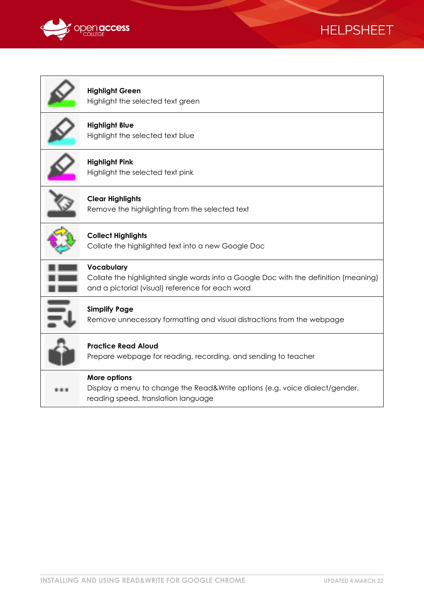



| <b>Highlight Green</b><br>Highlight the selected text green                                                                                            |
|--------------------------------------------------------------------------------------------------------------------------------------------------------|
| <b>Highlight Blue</b><br>Highlight the selected text blue                                                                                              |
| <b>Highlight Pink</b><br>Highlight the selected text pink                                                                                              |
| <b>Clear Highlights</b><br>Remove the highlighting from the selected text                                                                              |
| <b>Collect Highlights</b><br>Collate the highlighted text into a new Google Doc                                                                        |
| Vocabulary<br>Collate the highlighted single words into a Google Doc with the definition (meaning)<br>and a pictorial (visual) reference for each word |
| <b>Simplify Page</b><br>Remove unnecessary formatting and visual distractions from the webpage                                                         |
| <b>Practice Read Aloud</b><br>Prepare webpage for reading, recording, and sending to teacher                                                           |
| More options<br>Display a menu to change the Read&Write options (e.g. voice dialect/gender,<br>reading speed, translation language                     |
|                                                                                                                                                        |